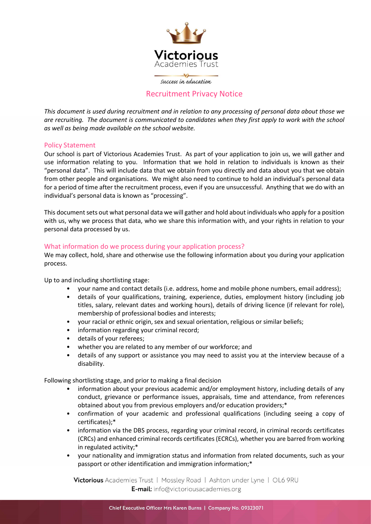

success in education

# Recruitment Privacy Notice

This document is used during recruitment and in relation to any processing of personal data about those we are recruiting. The document is communicated to candidates when they first apply to work with the school as well as being made available on the school website.

## Policy Statement

Our school is part of Victorious Academies Trust. As part of your application to join us, we will gather and use information relating to you. Information that we hold in relation to individuals is known as their "personal data". This will include data that we obtain from you directly and data about you that we obtain from other people and organisations. We might also need to continue to hold an individual's personal data for a period of time after the recruitment process, even if you are unsuccessful. Anything that we do with an individual's personal data is known as "processing".

This document sets out what personal data we will gather and hold about individuals who apply for a position with us, why we process that data, who we share this information with, and your rights in relation to your personal data processed by us.

## What information do we process during your application process?

We may collect, hold, share and otherwise use the following information about you during your application process.

Up to and including shortlisting stage:

- your name and contact details (i.e. address, home and mobile phone numbers, email address);
- details of your qualifications, training, experience, duties, employment history (including job titles, salary, relevant dates and working hours), details of driving licence (if relevant for role), membership of professional bodies and interests;
- your racial or ethnic origin, sex and sexual orientation, religious or similar beliefs;
- information regarding your criminal record;
- details of your referees;
- whether you are related to any member of our workforce; and
- details of any support or assistance you may need to assist you at the interview because of a disability.

Following shortlisting stage, and prior to making a final decision

- information about your previous academic and/or employment history, including details of any conduct, grievance or performance issues, appraisals, time and attendance, from references obtained about you from previous employers and/or education providers;\*
- confirmation of your academic and professional qualifications (including seeing a copy of certificates);\*
- information via the DBS process, regarding your criminal record, in criminal records certificates (CRCs) and enhanced criminal records certificates (ECRCs), whether you are barred from working in regulated activity;\*
- your nationality and immigration status and information from related documents, such as your passport or other identification and immigration information;\*

Victorious Academies Trust | Mossley Road | Ashton under Lyne | OL6 9RU E-mail: info@victoriousacademies.org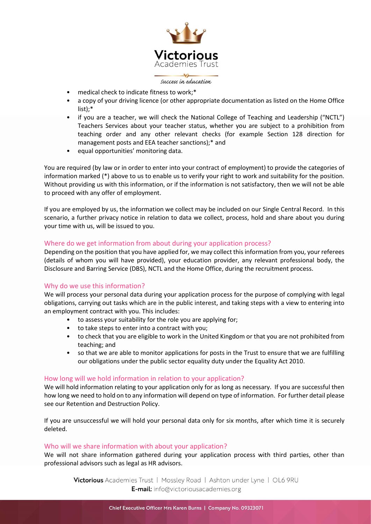

#### success in education

- medical check to indicate fitness to work;\*
- a copy of your driving licence (or other appropriate documentation as listed on the Home Office list);\*
- if you are a teacher, we will check the National College of Teaching and Leadership ("NCTL") Teachers Services about your teacher status, whether you are subject to a prohibition from teaching order and any other relevant checks (for example Section 128 direction for management posts and EEA teacher sanctions);\* and
- equal opportunities' monitoring data.

You are required (by law or in order to enter into your contract of employment) to provide the categories of information marked (\*) above to us to enable us to verify your right to work and suitability for the position. Without providing us with this information, or if the information is not satisfactory, then we will not be able to proceed with any offer of employment.

If you are employed by us, the information we collect may be included on our Single Central Record. In this scenario, a further privacy notice in relation to data we collect, process, hold and share about you during your time with us, will be issued to you.

# Where do we get information from about during your application process?

Depending on the position that you have applied for, we may collect this information from you, your referees (details of whom you will have provided), your education provider, any relevant professional body, the Disclosure and Barring Service (DBS), NCTL and the Home Office, during the recruitment process.

# Why do we use this information?

We will process your personal data during your application process for the purpose of complying with legal obligations, carrying out tasks which are in the public interest, and taking steps with a view to entering into an employment contract with you. This includes:

- to assess your suitability for the role you are applying for;
- to take steps to enter into a contract with you;
- to check that you are eligible to work in the United Kingdom or that you are not prohibited from teaching; and
- so that we are able to monitor applications for posts in the Trust to ensure that we are fulfilling our obligations under the public sector equality duty under the Equality Act 2010.

## How long will we hold information in relation to your application?

We will hold information relating to your application only for as long as necessary. If you are successful then how long we need to hold on to any information will depend on type of information. For further detail please see our Retention and Destruction Policy.

If you are unsuccessful we will hold your personal data only for six months, after which time it is securely deleted.

## Who will we share information with about your application?

We will not share information gathered during your application process with third parties, other than professional advisors such as legal as HR advisors.

Victorious Academies Trust | Mossley Road | Ashton under Lyne | OL6 9RU E-mail: info@victoriousacademies.org